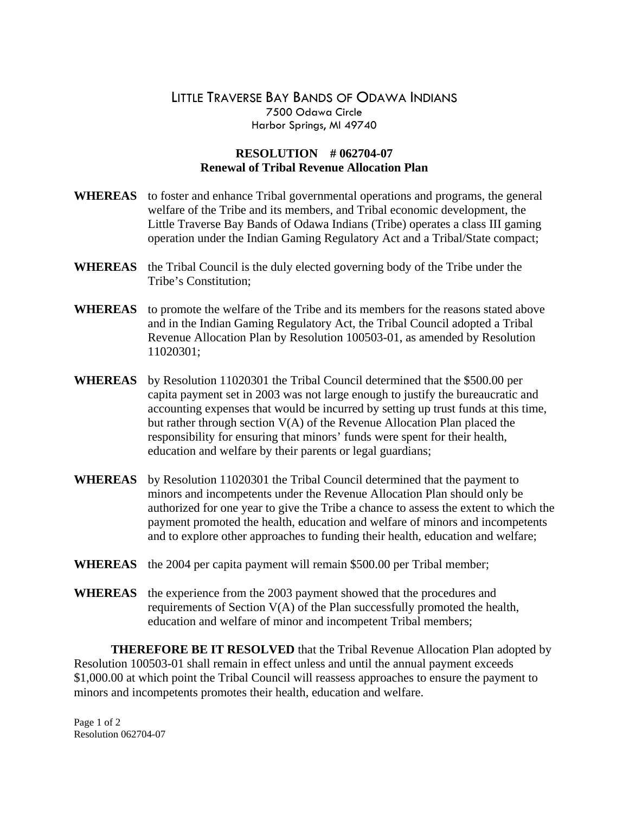## LITTLE TRAVERSE BAY BANDS OF ODAWA INDIANS 7500 Odawa Circle Harbor Springs, MI 49740

## **RESOLUTION # 062704-07 Renewal of Tribal Revenue Allocation Plan**

- **WHEREAS** to foster and enhance Tribal governmental operations and programs, the general welfare of the Tribe and its members, and Tribal economic development, the Little Traverse Bay Bands of Odawa Indians (Tribe) operates a class III gaming operation under the Indian Gaming Regulatory Act and a Tribal/State compact;
- **WHEREAS** the Tribal Council is the duly elected governing body of the Tribe under the Tribe's Constitution;
- **WHEREAS** to promote the welfare of the Tribe and its members for the reasons stated above and in the Indian Gaming Regulatory Act, the Tribal Council adopted a Tribal Revenue Allocation Plan by Resolution 100503-01, as amended by Resolution 11020301;
- **WHEREAS** by Resolution 11020301 the Tribal Council determined that the \$500.00 per capita payment set in 2003 was not large enough to justify the bureaucratic and accounting expenses that would be incurred by setting up trust funds at this time, but rather through section V(A) of the Revenue Allocation Plan placed the responsibility for ensuring that minors' funds were spent for their health, education and welfare by their parents or legal guardians;
- **WHEREAS** by Resolution 11020301 the Tribal Council determined that the payment to minors and incompetents under the Revenue Allocation Plan should only be authorized for one year to give the Tribe a chance to assess the extent to which the payment promoted the health, education and welfare of minors and incompetents and to explore other approaches to funding their health, education and welfare;
- **WHEREAS** the 2004 per capita payment will remain \$500.00 per Tribal member;
- **WHEREAS** the experience from the 2003 payment showed that the procedures and requirements of Section V(A) of the Plan successfully promoted the health, education and welfare of minor and incompetent Tribal members;

 **THEREFORE BE IT RESOLVED** that the Tribal Revenue Allocation Plan adopted by Resolution 100503-01 shall remain in effect unless and until the annual payment exceeds \$1,000.00 at which point the Tribal Council will reassess approaches to ensure the payment to minors and incompetents promotes their health, education and welfare.

Page 1 of 2 Resolution 062704-07